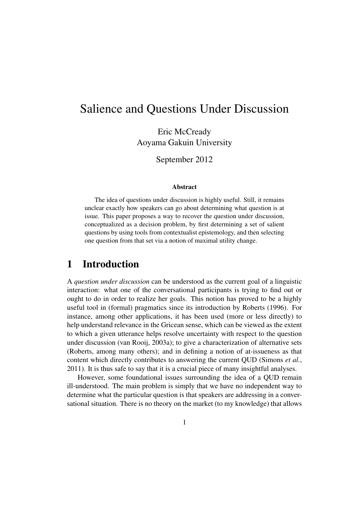# Salience and Questions Under Discussion

Eric McCready Aoyama Gakuin University

September 2012

#### Abstract

The idea of questions under discussion is highly useful. Still, it remains unclear exactly how speakers can go about determining what question is at issue. This paper proposes a way to recover the question under discussion, conceptualized as a decision problem, by first determining a set of salient questions by using tools from contextualist epistemology, and then selecting one question from that set via a notion of maximal utility change.

# 1 Introduction

A *question under discussion* can be understood as the current goal of a linguistic interaction: what one of the conversational participants is trying to find out or ought to do in order to realize her goals. This notion has proved to be a highly useful tool in (formal) pragmatics since its introduction by Roberts (1996). For instance, among other applications, it has been used (more or less directly) to help understand relevance in the Gricean sense, which can be viewed as the extent to which a given utterance helps resolve uncertainty with respect to the question under discussion (van Rooij, 2003a); to give a characterization of alternative sets (Roberts, among many others); and in defining a notion of at-issueness as that content which directly contributes to answering the current QUD (Simons *et al.*, 2011). It is thus safe to say that it is a crucial piece of many insightful analyses.

However, some foundational issues surrounding the idea of a QUD remain ill-understood. The main problem is simply that we have no independent way to determine what the particular question is that speakers are addressing in a conversational situation. There is no theory on the market (to my knowledge) that allows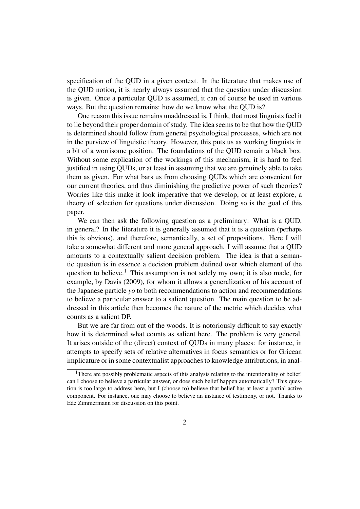specification of the QUD in a given context. In the literature that makes use of the QUD notion, it is nearly always assumed that the question under discussion is given. Once a particular QUD is assumed, it can of course be used in various ways. But the question remains: how do we know what the QUD is?

One reason this issue remains unaddressed is, I think, that most linguists feel it to lie beyond their proper domain of study. The idea seems to be that how the QUD is determined should follow from general psychological processes, which are not in the purview of linguistic theory. However, this puts us as working linguists in a bit of a worrisome position. The foundations of the QUD remain a black box. Without some explication of the workings of this mechanism, it is hard to feel justified in using QUDs, or at least in assuming that we are genuinely able to take them as given. For what bars us from choosing QUDs which are convenient for our current theories, and thus diminishing the predictive power of such theories? Worries like this make it look imperative that we develop, or at least explore, a theory of selection for questions under discussion. Doing so is the goal of this paper.

We can then ask the following question as a preliminary: What is a QUD, in general? In the literature it is generally assumed that it is a question (perhaps this is obvious), and therefore, semantically, a set of propositions. Here I will take a somewhat different and more general approach. I will assume that a QUD amounts to a contextually salient decision problem. The idea is that a semantic question is in essence a decision problem defined over which element of the question to believe.<sup>1</sup> This assumption is not solely my own; it is also made, for example, by Davis (2009), for whom it allows a generalization of his account of the Japanese particle *yo* to both recommendations to action and recommendations to believe a particular answer to a salient question. The main question to be addressed in this article then becomes the nature of the metric which decides what counts as a salient DP.

But we are far from out of the woods. It is notoriously difficult to say exactly how it is determined what counts as salient here. The problem is very general. It arises outside of the (direct) context of QUDs in many places: for instance, in attempts to specify sets of relative alternatives in focus semantics or for Gricean implicature or in some contextualist approaches to knowledge attributions, in anal-

<sup>&</sup>lt;sup>1</sup>There are possibly problematic aspects of this analysis relating to the intentionality of belief: can I choose to believe a particular answer, or does such belief happen automatically? This question is too large to address here, but I (choose to) believe that belief has at least a partial active component. For instance, one may choose to believe an instance of testimony, or not. Thanks to Ede Zimmermann for discussion on this point.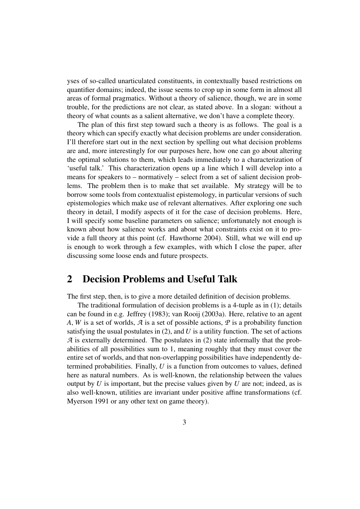yses of so-called unarticulated constituents, in contextually based restrictions on quantifier domains; indeed, the issue seems to crop up in some form in almost all areas of formal pragmatics. Without a theory of salience, though, we are in some trouble, for the predictions are not clear, as stated above. In a slogan: without a theory of what counts as a salient alternative, we don't have a complete theory.

The plan of this first step toward such a theory is as follows. The goal is a theory which can specify exactly what decision problems are under consideration. I'll therefore start out in the next section by spelling out what decision problems are and, more interestingly for our purposes here, how one can go about altering the optimal solutions to them, which leads immediately to a characterization of 'useful talk.' This characterization opens up a line which I will develop into a means for speakers to – normatively – select from a set of salient decision problems. The problem then is to make that set available. My strategy will be to borrow some tools from contextualist epistemology, in particular versions of such epistemologies which make use of relevant alternatives. After exploring one such theory in detail, I modify aspects of it for the case of decision problems. Here, I will specify some baseline parameters on salience; unfortunately not enough is known about how salience works and about what constraints exist on it to provide a full theory at this point (cf. Hawthorne 2004). Still, what we will end up is enough to work through a few examples, with which I close the paper, after discussing some loose ends and future prospects.

# 2 Decision Problems and Useful Talk

The first step, then, is to give a more detailed definition of decision problems.

The traditional formulation of decision problems is a 4-tuple as in (1); details can be found in e.g. Jeffrey (1983); van Rooij (2003a). Here, relative to an agent *A*, *W* is a set of worlds, *A* is a set of possible actions, *P* is a probability function satisfying the usual postulates in (2), and *U* is a utility function. The set of actions *A* is externally determined. The postulates in (2) state informally that the probabilities of all possibilities sum to 1, meaning roughly that they must cover the entire set of worlds, and that non-overlapping possibilities have independently determined probabilities. Finally, *U* is a function from outcomes to values, defined here as natural numbers. As is well-known, the relationship between the values output by  $U$  is important, but the precise values given by  $U$  are not; indeed, as is also well-known, utilities are invariant under positive affine transformations (cf. Myerson 1991 or any other text on game theory).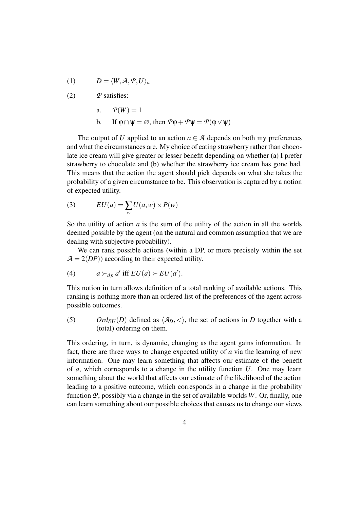$$
(1) \tD = \langle W, \mathcal{A}, \mathcal{P}, U \rangle_a
$$

(2) *P* satisfies:

$$
a. \qquad P(W) = 1
$$

b. If  $\varphi \cap \psi = \varnothing$ , then  $\varphi \varphi + \varphi \psi = \varphi(\varphi \vee \psi)$ 

The output of *U* applied to an action  $a \in \mathcal{A}$  depends on both my preferences and what the circumstances are. My choice of eating strawberry rather than chocolate ice cream will give greater or lesser benefit depending on whether (a) I prefer strawberry to chocolate and (b) whether the strawberry ice cream has gone bad. This means that the action the agent should pick depends on what she takes the probability of a given circumstance to be. This observation is captured by a notion of expected utility.

(3) 
$$
EU(a) = \sum_{w} U(a, w) \times P(w)
$$

So the utility of action *a* is the sum of the utility of the action in all the worlds deemed possible by the agent (on the natural and common assumption that we are dealing with subjective probability).

We can rank possible actions (within a DP, or more precisely within the set  $A = 2(DP)$  according to their expected utility.

(4) 
$$
a \succ_{dp} a'
$$
 iff  $EU(a) \succ EU(a')$ .

This notion in turn allows definition of a total ranking of available actions. This ranking is nothing more than an ordered list of the preferences of the agent across possible outcomes.

(5) *Ord*<sub>*EU*</sub> (*D*) defined as  $\langle A_p, \langle \rangle$ , the set of actions in *D* together with a (total) ordering on them.

This ordering, in turn, is dynamic, changing as the agent gains information. In fact, there are three ways to change expected utility of *a* via the learning of new information. One may learn something that affects our estimate of the benefit of *a*, which corresponds to a change in the utility function *U*. One may learn something about the world that affects our estimate of the likelihood of the action leading to a positive outcome, which corresponds in a change in the probability function *P*, possibly via a change in the set of available worlds *W*. Or, finally, one can learn something about our possible choices that causes us to change our views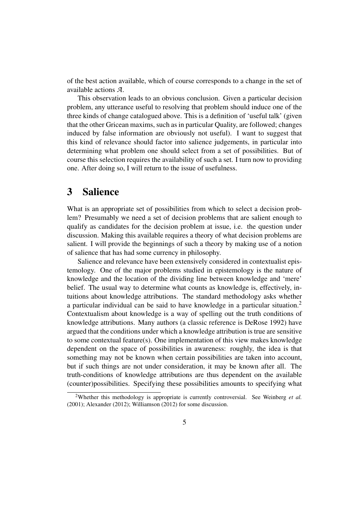of the best action available, which of course corresponds to a change in the set of available actions *A*.

This observation leads to an obvious conclusion. Given a particular decision problem, any utterance useful to resolving that problem should induce one of the three kinds of change catalogued above. This is a definition of 'useful talk' (given that the other Gricean maxims, such as in particular Quality, are followed; changes induced by false information are obviously not useful). I want to suggest that this kind of relevance should factor into salience judgements, in particular into determining what problem one should select from a set of possibilities. But of course this selection requires the availability of such a set. I turn now to providing one. After doing so, I will return to the issue of usefulness.

### 3 Salience

What is an appropriate set of possibilities from which to select a decision problem? Presumably we need a set of decision problems that are salient enough to qualify as candidates for the decision problem at issue, i.e. the question under discussion. Making this available requires a theory of what decision problems are salient. I will provide the beginnings of such a theory by making use of a notion of salience that has had some currency in philosophy.

Salience and relevance have been extensively considered in contextualist epistemology. One of the major problems studied in epistemology is the nature of knowledge and the location of the dividing line between knowledge and 'mere' belief. The usual way to determine what counts as knowledge is, effectively, intuitions about knowledge attributions. The standard methodology asks whether a particular individual can be said to have knowledge in a particular situation.<sup>2</sup> Contextualism about knowledge is a way of spelling out the truth conditions of knowledge attributions. Many authors (a classic reference is DeRose 1992) have argued that the conditions under which a knowledge attribution is true are sensitive to some contextual feature(s). One implementation of this view makes knowledge dependent on the space of possibilities in awareness: roughly, the idea is that something may not be known when certain possibilities are taken into account, but if such things are not under consideration, it may be known after all. The truth-conditions of knowledge attributions are thus dependent on the available (counter)possibilities. Specifying these possibilities amounts to specifying what

<sup>2</sup>Whether this methodology is appropriate is currently controversial. See Weinberg *et al.* (2001); Alexander (2012); Williamson (2012) for some discussion.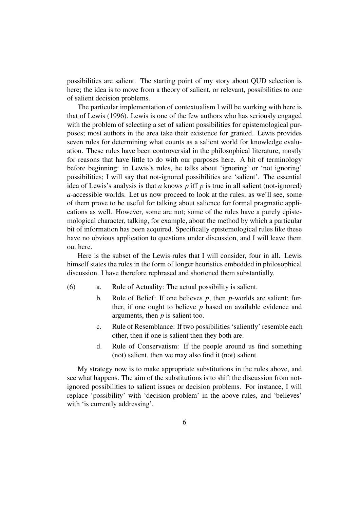possibilities are salient. The starting point of my story about QUD selection is here; the idea is to move from a theory of salient, or relevant, possibilities to one of salient decision problems.

The particular implementation of contextualism I will be working with here is that of Lewis (1996). Lewis is one of the few authors who has seriously engaged with the problem of selecting a set of salient possibilities for epistemological purposes; most authors in the area take their existence for granted. Lewis provides seven rules for determining what counts as a salient world for knowledge evaluation. These rules have been controversial in the philosophical literature, mostly for reasons that have little to do with our purposes here. A bit of terminology before beginning: in Lewis's rules, he talks about 'ignoring' or 'not ignoring' possibilities; I will say that not-ignored possibilities are 'salient'. The essential idea of Lewis's analysis is that *a* knows *p* iff *p* is true in all salient (not-ignored) *a*-accessible worlds. Let us now proceed to look at the rules; as we'll see, some of them prove to be useful for talking about salience for formal pragmatic applications as well. However, some are not; some of the rules have a purely epistemological character, talking, for example, about the method by which a particular bit of information has been acquired. Specifically epistemological rules like these have no obvious application to questions under discussion, and I will leave them out here.

Here is the subset of the Lewis rules that I will consider, four in all. Lewis himself states the rules in the form of longer heuristics embedded in philosophical discussion. I have therefore rephrased and shortened them substantially.

- (6) a. Rule of Actuality: The actual possibility is salient.
	- b. Rule of Belief: If one believes *p*, then *p*-worlds are salient; further, if one ought to believe *p* based on available evidence and arguments, then *p* is salient too.
	- c. Rule of Resemblance: If two possibilities 'saliently' resemble each other, then if one is salient then they both are.
	- d. Rule of Conservatism: If the people around us find something (not) salient, then we may also find it (not) salient.

My strategy now is to make appropriate substitutions in the rules above, and see what happens. The aim of the substitutions is to shift the discussion from notignored possibilities to salient issues or decision problems. For instance, I will replace 'possibility' with 'decision problem' in the above rules, and 'believes' with 'is currently addressing'.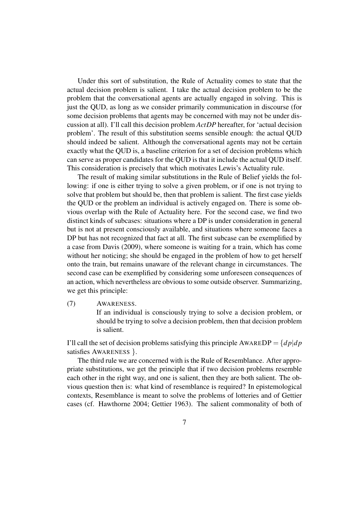Under this sort of substitution, the Rule of Actuality comes to state that the actual decision problem is salient. I take the actual decision problem to be the problem that the conversational agents are actually engaged in solving. This is just the QUD, as long as we consider primarily communication in discourse (for some decision problems that agents may be concerned with may not be under discussion at all). I'll call this decision problem *ActDP* hereafter, for 'actual decision problem'. The result of this substitution seems sensible enough: the actual QUD should indeed be salient. Although the conversational agents may not be certain exactly what the QUD is, a baseline criterion for a set of decision problems which can serve as proper candidates for the QUD is that it include the actual QUD itself. This consideration is precisely that which motivates Lewis's Actuality rule.

The result of making similar substitutions in the Rule of Belief yields the following: if one is either trying to solve a given problem, or if one is not trying to solve that problem but should be, then that problem is salient. The first case yields the QUD or the problem an individual is actively engaged on. There is some obvious overlap with the Rule of Actuality here. For the second case, we find two distinct kinds of subcases: situations where a DP is under consideration in general but is not at present consciously available, and situations where someone faces a DP but has not recognized that fact at all. The first subcase can be exemplified by a case from Davis (2009), where someone is waiting for a train, which has come without her noticing; she should be engaged in the problem of how to get herself onto the train, but remains unaware of the relevant change in circumstances. The second case can be exemplified by considering some unforeseen consequences of an action, which nevertheless are obvious to some outside observer. Summarizing, we get this principle:

(7) AWARENESS.

If an individual is consciously trying to solve a decision problem, or should be trying to solve a decision problem, then that decision problem is salient.

I'll call the set of decision problems satisfying this principle  $AWARDP = \{dp|dp$ satisfies AWARENESS }.

The third rule we are concerned with is the Rule of Resemblance. After appropriate substitutions, we get the principle that if two decision problems resemble each other in the right way, and one is salient, then they are both salient. The obvious question then is: what kind of resemblance is required? In epistemological contexts, Resemblance is meant to solve the problems of lotteries and of Gettier cases (cf. Hawthorne 2004; Gettier 1963). The salient commonality of both of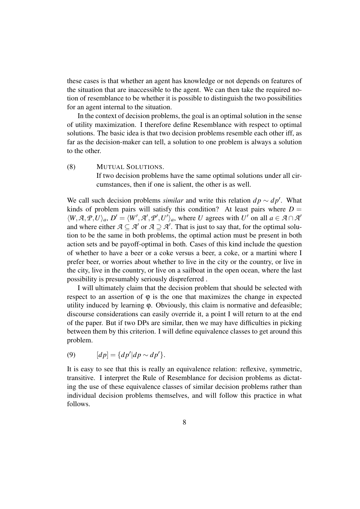these cases is that whether an agent has knowledge or not depends on features of the situation that are inaccessible to the agent. We can then take the required notion of resemblance to be whether it is possible to distinguish the two possibilities for an agent internal to the situation.

In the context of decision problems, the goal is an optimal solution in the sense of utility maximization. I therefore define Resemblance with respect to optimal solutions. The basic idea is that two decision problems resemble each other iff, as far as the decision-maker can tell, a solution to one problem is always a solution to the other.

(8) MUTUAL SOLUTIONS. If two decision problems have the same optimal solutions under all circumstances, then if one is salient, the other is as well.

We call such decision problems *similar* and write this relation  $dp \sim dp'$ . What kinds of problem pairs will satisfy this condition? At least pairs where  $D =$  $\langle W, \mathcal{A}, \mathcal{P}, U \rangle_a$ ,  $D' = \langle W', \mathcal{A}', \mathcal{P}', U' \rangle_a$ , where *U* agrees with *U'* on all  $a \in \mathcal{A} \cap \mathcal{A}'$ and where either  $A \subseteq A'$  or  $A \supseteq A'$ . That is just to say that, for the optimal solution to be the same in both problems, the optimal action must be present in both action sets and be payoff-optimal in both. Cases of this kind include the question of whether to have a beer or a coke versus a beer, a coke, or a martini where I prefer beer, or worries about whether to live in the city or the country, or live in the city, live in the country, or live on a sailboat in the open ocean, where the last possibility is presumably seriously dispreferred .

I will ultimately claim that the decision problem that should be selected with respect to an assertion of  $\varphi$  is the one that maximizes the change in expected utility induced by learning ϕ. Obviously, this claim is normative and defeasible; discourse considerations can easily override it, a point I will return to at the end of the paper. But if two DPs are similar, then we may have difficulties in picking between them by this criterion. I will define equivalence classes to get around this problem.

$$
(9) \qquad [dp] = \{dp'|dp \sim dp'\}.
$$

It is easy to see that this is really an equivalence relation: reflexive, symmetric, transitive. I interpret the Rule of Resemblance for decision problems as dictating the use of these equivalence classes of similar decision problems rather than individual decision problems themselves, and will follow this practice in what follows.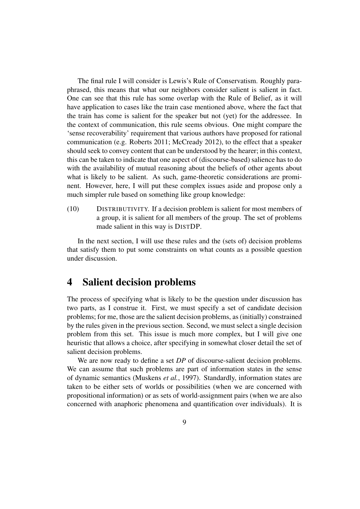The final rule I will consider is Lewis's Rule of Conservatism. Roughly paraphrased, this means that what our neighbors consider salient is salient in fact. One can see that this rule has some overlap with the Rule of Belief, as it will have application to cases like the train case mentioned above, where the fact that the train has come is salient for the speaker but not (yet) for the addressee. In the context of communication, this rule seems obvious. One might compare the 'sense recoverability' requirement that various authors have proposed for rational communication (e.g. Roberts 2011; McCready 2012), to the effect that a speaker should seek to convey content that can be understood by the hearer; in this context, this can be taken to indicate that one aspect of (discourse-based) salience has to do with the availability of mutual reasoning about the beliefs of other agents about what is likely to be salient. As such, game-theoretic considerations are prominent. However, here, I will put these complex issues aside and propose only a much simpler rule based on something like group knowledge:

(10) DISTRIBUTIVITY. If a decision problem is salient for most members of a group, it is salient for all members of the group. The set of problems made salient in this way is DISTDP.

In the next section, I will use these rules and the (sets of) decision problems that satisfy them to put some constraints on what counts as a possible question under discussion.

#### 4 Salient decision problems

The process of specifying what is likely to be the question under discussion has two parts, as I construe it. First, we must specify a set of candidate decision problems; for me, those are the salient decision problems, as (initially) constrained by the rules given in the previous section. Second, we must select a single decision problem from this set. This issue is much more complex, but I will give one heuristic that allows a choice, after specifying in somewhat closer detail the set of salient decision problems.

We are now ready to define a set *DP* of discourse-salient decision problems. We can assume that such problems are part of information states in the sense of dynamic semantics (Muskens *et al.*, 1997). Standardly, information states are taken to be either sets of worlds or possibilities (when we are concerned with propositional information) or as sets of world-assignment pairs (when we are also concerned with anaphoric phenomena and quantification over individuals). It is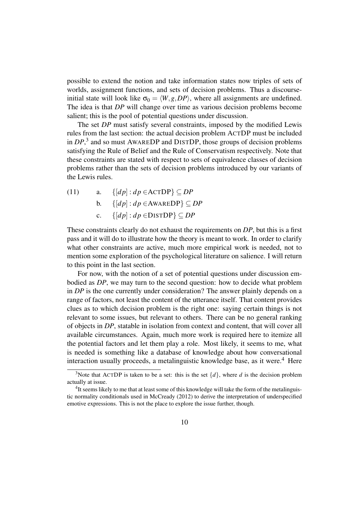possible to extend the notion and take information states now triples of sets of worlds, assignment functions, and sets of decision problems. Thus a discourseinitial state will look like  $\sigma_0 = \langle W, g, DP \rangle$ , where all assignments are undefined. The idea is that *DP* will change over time as various decision problems become salient; this is the pool of potential questions under discussion.

The set *DP* must satisfy several constraints, imposed by the modified Lewis rules from the last section: the actual decision problem ACTDP must be included in *DP*, 3 and so must AWAREDP and DISTDP, those groups of decision problems satisfying the Rule of Belief and the Rule of Conservatism respectively. Note that these constraints are stated with respect to sets of equivalence classes of decision problems rather than the sets of decision problems introduced by our variants of the Lewis rules.

(11) a. 
$$
\{[dp] : dp \in \text{ACTDP}\} \subseteq DP
$$
  
b.  $\{[dp] : dp \in \text{AWAREDP}\} \subseteq DP$   
c.  $\{[dp] : dp \in \text{DISTDP}\} \subseteq DP$ 

These constraints clearly do not exhaust the requirements on *DP*, but this is a first pass and it will do to illustrate how the theory is meant to work. In order to clarify what other constraints are active, much more empirical work is needed, not to mention some exploration of the psychological literature on salience. I will return to this point in the last section.

For now, with the notion of a set of potential questions under discussion embodied as *DP*, we may turn to the second question: how to decide what problem in *DP* is the one currently under consideration? The answer plainly depends on a range of factors, not least the content of the utterance itself. That content provides clues as to which decision problem is the right one: saying certain things is not relevant to some issues, but relevant to others. There can be no general ranking of objects in *DP*, statable in isolation from context and content, that will cover all available circumstances. Again, much more work is required here to itemize all the potential factors and let them play a role. Most likely, it seems to me, what is needed is something like a database of knowledge about how conversational interaction usually proceeds, a metalinguistic knowledge base, as it were.<sup>4</sup> Here

<sup>&</sup>lt;sup>3</sup>Note that ACTDP is taken to be a set: this is the set  $\{d\}$ , where *d* is the decision problem actually at issue.

<sup>&</sup>lt;sup>4</sup>It seems likely to me that at least some of this knowledge will take the form of the metalinguistic normality conditionals used in McCready (2012) to derive the interpretation of underspecified emotive expressions. This is not the place to explore the issue further, though.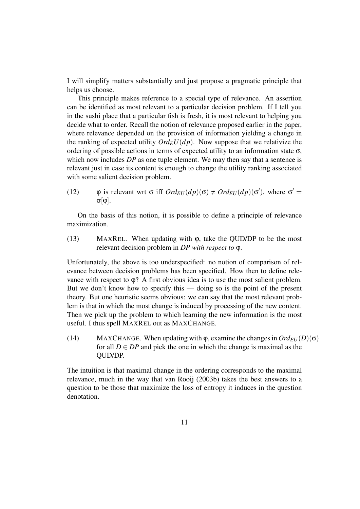I will simplify matters substantially and just propose a pragmatic principle that helps us choose.

This principle makes reference to a special type of relevance. An assertion can be identified as most relevant to a particular decision problem. If I tell you in the sushi place that a particular fish is fresh, it is most relevant to helping you decide what to order. Recall the notion of relevance proposed earlier in the paper, where relevance depended on the provision of information yielding a change in the ranking of expected utility  $Ord_EU(dp)$ . Now suppose that we relativize the ordering of possible actions in terms of expected utility to an information state  $\sigma$ , which now includes *DP* as one tuple element. We may then say that a sentence is relevant just in case its content is enough to change the utility ranking associated with some salient decision problem.

(12)  $\varphi$  is relevant wrt  $\sigma$  iff  $Ord_{EU}(dp)(\sigma) \neq Ord_{EU}(dp)(\sigma')$ , where  $\sigma' =$ σ[ϕ].

On the basis of this notion, it is possible to define a principle of relevance maximization.

(13) MAXREL. When updating with  $\varphi$ , take the QUD/DP to be the most relevant decision problem in *DP with respect to* ϕ.

Unfortunately, the above is too underspecified: no notion of comparison of relevance between decision problems has been specified. How then to define relevance with respect to  $\varphi$ ? A first obvious idea is to use the most salient problem. But we don't know how to specify this — doing so is the point of the present theory. But one heuristic seems obvious: we can say that the most relevant problem is that in which the most change is induced by processing of the new content. Then we pick up the problem to which learning the new information is the most useful. I thus spell MAXREL out as MAXCHANGE.

(14) MAXCHANGE. When updating with  $\varphi$ , examine the changes in  $Ord_{EU}(D)(\sigma)$ for all  $D \in DP$  and pick the one in which the change is maximal as the QUD/DP.

The intuition is that maximal change in the ordering corresponds to the maximal relevance, much in the way that van Rooij (2003b) takes the best answers to a question to be those that maximize the loss of entropy it induces in the question denotation.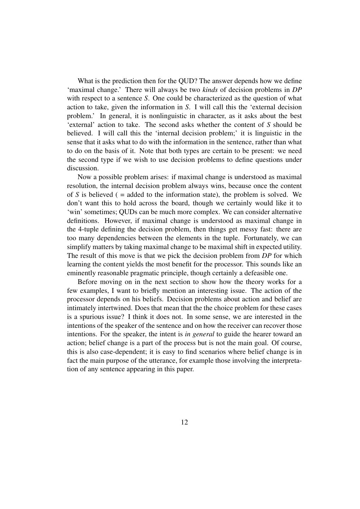What is the prediction then for the QUD? The answer depends how we define 'maximal change.' There will always be two *kinds* of decision problems in *DP* with respect to a sentence *S*. One could be characterized as the question of what action to take, given the information in *S*. I will call this the 'external decision problem.' In general, it is nonlinguistic in character, as it asks about the best 'external' action to take. The second asks whether the content of *S* should be believed. I will call this the 'internal decision problem;' it is linguistic in the sense that it asks what to do with the information in the sentence, rather than what to do on the basis of it. Note that both types are certain to be present: we need the second type if we wish to use decision problems to define questions under discussion.

Now a possible problem arises: if maximal change is understood as maximal resolution, the internal decision problem always wins, because once the content of  $S$  is believed ( $=$  added to the information state), the problem is solved. We don't want this to hold across the board, though we certainly would like it to 'win' sometimes; QUDs can be much more complex. We can consider alternative definitions. However, if maximal change is understood as maximal change in the 4-tuple defining the decision problem, then things get messy fast: there are too many dependencies between the elements in the tuple. Fortunately, we can simplify matters by taking maximal change to be maximal shift in expected utility. The result of this move is that we pick the decision problem from *DP* for which learning the content yields the most benefit for the processor. This sounds like an eminently reasonable pragmatic principle, though certainly a defeasible one.

Before moving on in the next section to show how the theory works for a few examples, I want to briefly mention an interesting issue. The action of the processor depends on his beliefs. Decision problems about action and belief are intimately intertwined. Does that mean that the the choice problem for these cases is a spurious issue? I think it does not. In some sense, we are interested in the intentions of the speaker of the sentence and on how the receiver can recover those intentions. For the speaker, the intent is *in general* to guide the hearer toward an action; belief change is a part of the process but is not the main goal. Of course, this is also case-dependent; it is easy to find scenarios where belief change is in fact the main purpose of the utterance, for example those involving the interpretation of any sentence appearing in this paper.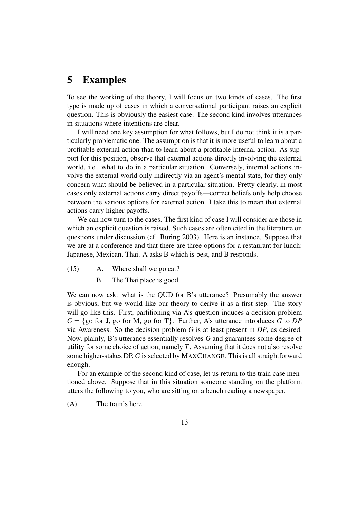# 5 Examples

To see the working of the theory, I will focus on two kinds of cases. The first type is made up of cases in which a conversational participant raises an explicit question. This is obviously the easiest case. The second kind involves utterances in situations where intentions are clear.

I will need one key assumption for what follows, but I do not think it is a particularly problematic one. The assumption is that it is more useful to learn about a profitable external action than to learn about a profitable internal action. As support for this position, observe that external actions directly involving the external world, i.e., what to do in a particular situation. Conversely, internal actions involve the external world only indirectly via an agent's mental state, for they only concern what should be believed in a particular situation. Pretty clearly, in most cases only external actions carry direct payoffs—correct beliefs only help choose between the various options for external action. I take this to mean that external actions carry higher payoffs.

We can now turn to the cases. The first kind of case I will consider are those in which an explicit question is raised. Such cases are often cited in the literature on questions under discussion (cf. Buring 2003). Here is an instance. Suppose that we are at a conference and that there are three options for a restaurant for lunch: Japanese, Mexican, Thai. A asks B which is best, and B responds.

- (15) A. Where shall we go eat?
	- B. The Thai place is good.

We can now ask: what is the QUD for B's utterance? Presumably the answer is obvious, but we would like our theory to derive it as a first step. The story will go like this. First, partitioning via A's question induces a decision problem  $G = \{$  go for J, go for M, go for T $\}$ . Further, A's utterance introduces *G* to *DP* via Awareness. So the decision problem *G* is at least present in *DP*, as desired. Now, plainly, B's utterance essentially resolves *G* and guarantees some degree of utility for some choice of action, namely *T*. Assuming that it does not also resolve some higher-stakes DP, *G* is selected by MAXCHANGE. This is all straightforward enough.

For an example of the second kind of case, let us return to the train case mentioned above. Suppose that in this situation someone standing on the platform utters the following to you, who are sitting on a bench reading a newspaper.

(A) The train's here.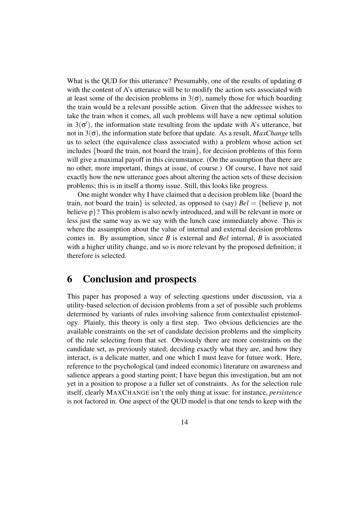What is the QUD for this utterance? Presumably, one of the results of updating  $\sigma$ with the content of A's utterance will be to modify the action sets associated with at least some of the decision problems in  $3(\sigma)$ , namely those for which boarding the train would be a relevant possible action. Given that the addressee wishes to take the train when it comes, all such problems will have a new optimal solution in  $3(\sigma')$ , the information state resulting from the update with A's utterance, but not in 3(σ), the information state before that update. As a result, *MaxChange* tells us to select (the equivalence class associated with) a problem whose action set includes {board the train, not board the train}, for decision problems of this form will give a maximal payoff in this circumstance. (On the assumption that there are no other, more important, things at issue, of course.) Of course, I have not said exactly how the new utterance goes about altering the action sets of these decision problems; this is in itself a thorny issue. Still, this looks like progress.

One might wonder why I have claimed that a decision problem like {board the train, not board the train is selected, as opposed to (say)  $Bel = \{ \text{believe } p, \text{ not} \}$ believe p}? This problem is also newly introduced, and will be relevant in more or less just the same way as we say with the lunch case immediately above. This is where the assumption about the value of internal and external decision problems comes in. By assumption, since *B* is external and *Bel* internal, *B* is associated with a higher utility change, and so is more relevant by the proposed definition; it therefore is selected.

# 6 Conclusion and prospects

This paper has proposed a way of selecting questions under discussion, via a utility-based selection of decision problems from a set of possible such problems determined by variants of rules involving salience from contextualist epistemology. Plainly, this theory is only a first step. Two obvious deficiencies are the available constraints on the set of candidate decision problems and the simplicity of the rule selecting from that set. Obviously there are more constraints on the candidate set, as previously stated; deciding exactly what they are, and how they interact, is a delicate matter, and one which I must leave for future work. Here, reference to the psychological (and indeed economic) literature on awareness and salience appears a good starting point; I have begun this investigation, but am not yet in a position to propose a a fuller set of constraints. As for the selection rule itself, clearly MAXCHANGE isn't the only thing at issue: for instance, *persistence* is not factored in. One aspect of the QUD model is that one tends to keep with the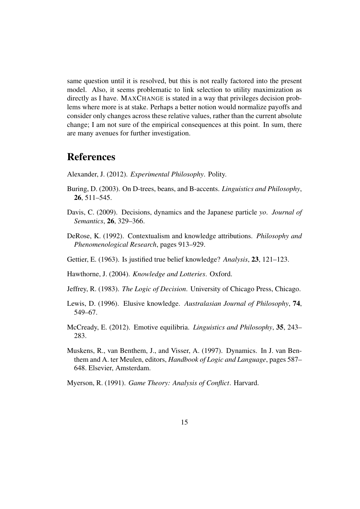same question until it is resolved, but this is not really factored into the present model. Also, it seems problematic to link selection to utility maximization as directly as I have. MAXCHANGE is stated in a way that privileges decision problems where more is at stake. Perhaps a better notion would normalize payoffs and consider only changes across these relative values, rather than the current absolute change; I am not sure of the empirical consequences at this point. In sum, there are many avenues for further investigation.

# References

Alexander, J. (2012). *Experimental Philosophy*. Polity.

- Buring, D. (2003). On D-trees, beans, and B-accents. *Linguistics and Philosophy*, 26, 511–545.
- Davis, C. (2009). Decisions, dynamics and the Japanese particle *yo*. *Journal of Semantics*, 26, 329–366.
- DeRose, K. (1992). Contextualism and knowledge attributions. *Philosophy and Phenomenological Research*, pages 913–929.
- Gettier, E. (1963). Is justified true belief knowledge? *Analysis*, 23, 121–123.
- Hawthorne, J. (2004). *Knowledge and Lotteries*. Oxford.
- Jeffrey, R. (1983). *The Logic of Decision*. University of Chicago Press, Chicago.
- Lewis, D. (1996). Elusive knowledge. *Australasian Journal of Philosophy*, 74, 549–67.
- McCready, E. (2012). Emotive equilibria. *Linguistics and Philosophy*, 35, 243– 283.
- Muskens, R., van Benthem, J., and Visser, A. (1997). Dynamics. In J. van Benthem and A. ter Meulen, editors, *Handbook of Logic and Language*, pages 587– 648. Elsevier, Amsterdam.
- Myerson, R. (1991). *Game Theory: Analysis of Conflict*. Harvard.